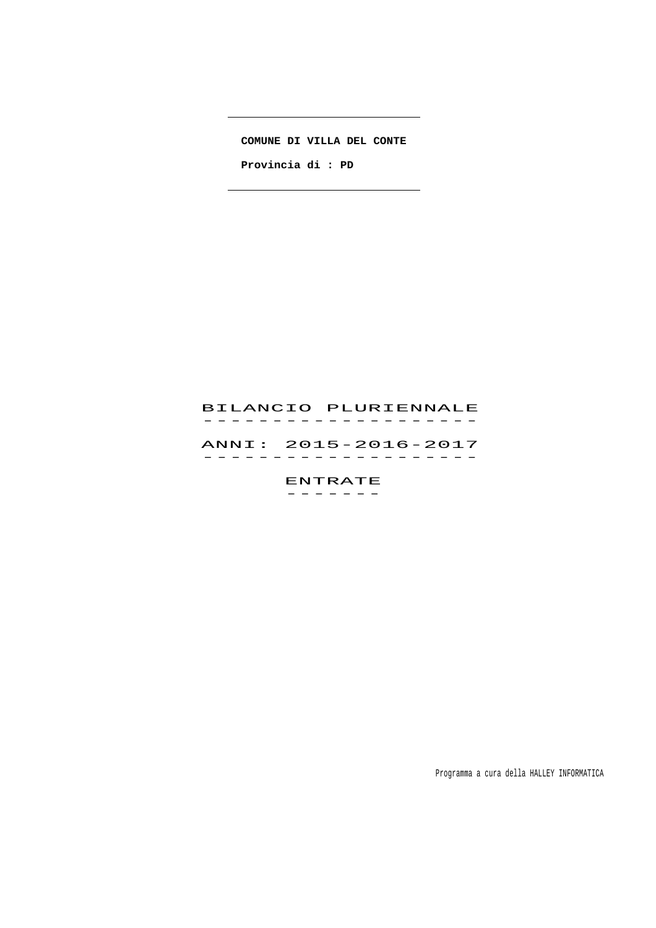#### **COMUNE DI VILLA DEL CONTE**

 $\mathbb{R}$ 

 $\overline{\phantom{a}}$ 

 **Provincia di : PD** 

# BILANCIO PLURIENNALE -------------------<br>BILANCIO PLURIENNALE

 ANNI: 2015-2016-2017 ANNI: 2015–2016–2017<br>------------------

> ENTRATE -------

> > Programma a cura della HALLEY INFORMATICA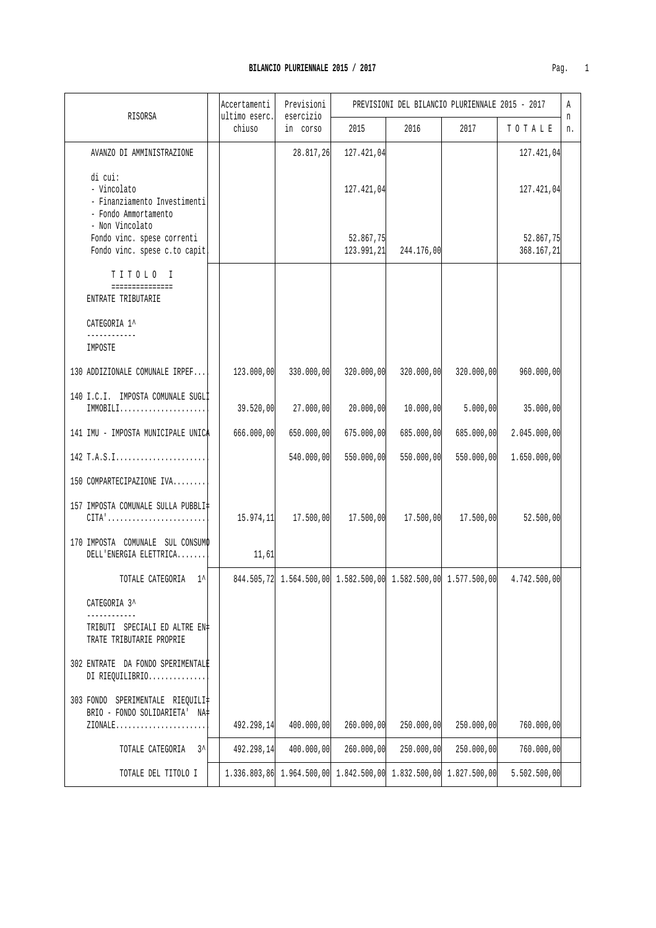| Pag |  |
|-----|--|

|                                                                                                       | Accertamenti            | Previsioni                                                       |                         | PREVISIONI DEL BILANCIO PLURIENNALE 2015 - 2017 |            |                         | Α       |
|-------------------------------------------------------------------------------------------------------|-------------------------|------------------------------------------------------------------|-------------------------|-------------------------------------------------|------------|-------------------------|---------|
| RISORSA                                                                                               | ultimo eserc.<br>chiuso | esercizio<br>in corso                                            | 2015                    | 2016                                            | 2017       | TOTALE                  | n<br>n. |
| AVANZO DI AMMINISTRAZIONE                                                                             |                         | 28.817,26                                                        | 127.421,04              |                                                 |            | 127.421,04              |         |
| di cui:<br>- Vincolato<br>- Finanziamento Investimenti<br>- Fondo Ammortamento<br>- Non Vincolato     |                         |                                                                  | 127.421,04              |                                                 |            | 127.421,04              |         |
| Fondo vinc. spese correnti<br>Fondo vinc. spese c.to capit                                            |                         |                                                                  | 52.867,75<br>123.991,21 | 244.176,00                                      |            | 52.867,75<br>368.167,21 |         |
| TITOLO I<br>===============<br>ENTRATE TRIBUTARIE                                                     |                         |                                                                  |                         |                                                 |            |                         |         |
| CATEGORIA 1^<br>------------                                                                          |                         |                                                                  |                         |                                                 |            |                         |         |
| IMPOSTE                                                                                               |                         |                                                                  |                         |                                                 |            |                         |         |
| 130 ADDIZIONALE COMUNALE IRPEF                                                                        | 123.000,00              | 330.000,00                                                       | 320.000,00              | 320.000,00                                      | 320.000,00 | 960.000,00              |         |
| 140 I.C.I. IMPOSTA COMUNALE SUGLI<br>IMMOBILI                                                         | 39.520,00               | 27.000,00                                                        | 20.000,00               | 10.000, 00                                      | 5.000,00   | 35.000,00               |         |
| 141 IMU - IMPOSTA MUNICIPALE UNICA                                                                    | 666.000,00              | 650.000,00                                                       | 675.000,00              | 685.000,00                                      | 685.000,00 | 2.045.000,00            |         |
| 142 T.A.S.I                                                                                           |                         | 540.000,00                                                       | 550.000,00              | 550.000,00                                      | 550.000,00 | 1.650.000,00            |         |
| 150 COMPARTECIPAZIONE IVA                                                                             |                         |                                                                  |                         |                                                 |            |                         |         |
| 157 IMPOSTA COMUNALE SULLA PUBBLI‡<br>$CITA' \ldots \ldots \ldots \ldots \ldots \ldots \ldots \ldots$ | 15.974, 11              | 17.500,00                                                        | 17.500,00               | 17.500,00                                       | 17.500,00  | 52.500,00               |         |
| 170 IMPOSTA COMUNALE SUL CONSUMO<br>DELL'ENERGIA ELETTRICA                                            | 11,61                   |                                                                  |                         |                                                 |            |                         |         |
| TOTALE CATEGORIA 1^                                                                                   |                         | 844.505,72 1.564.500,00 1.582.500,00 1.582.500,00 1.577.500,00   |                         |                                                 |            | 4.742.500,00            |         |
| CATEGORIA 3^                                                                                          |                         |                                                                  |                         |                                                 |            |                         |         |
| TRIBUTI SPECIALI ED ALTRE EN#<br>TRATE TRIBUTARIE PROPRIE                                             |                         |                                                                  |                         |                                                 |            |                         |         |
| 302 ENTRATE DA FONDO SPERIMENTALE<br>DI RIEQUILIBRIO                                                  |                         |                                                                  |                         |                                                 |            |                         |         |
| 303 FONDO SPERIMENTALE RIEQUILI‡<br>BRIO - FONDO SOLIDARIETA' NA‡                                     |                         |                                                                  |                         |                                                 |            |                         |         |
| $ZIONALE$                                                                                             | 492.298,14              | 400.000,00                                                       | 260.000,00              | 250.000,00                                      | 250.000,00 | 760.000,00              |         |
| $3^{\lambda}$<br>TOTALE CATEGORIA                                                                     | 492.298,14              | 400.000,00                                                       | 260.000,00              | 250.000,00                                      | 250.000,00 | 760.000,00              |         |
| TOTALE DEL TITOLO I                                                                                   |                         | 1.336.803,86 1.964.500,00 1.842.500,00 1.832.500,00 1.827.500,00 |                         |                                                 |            | 5.502.500,00            |         |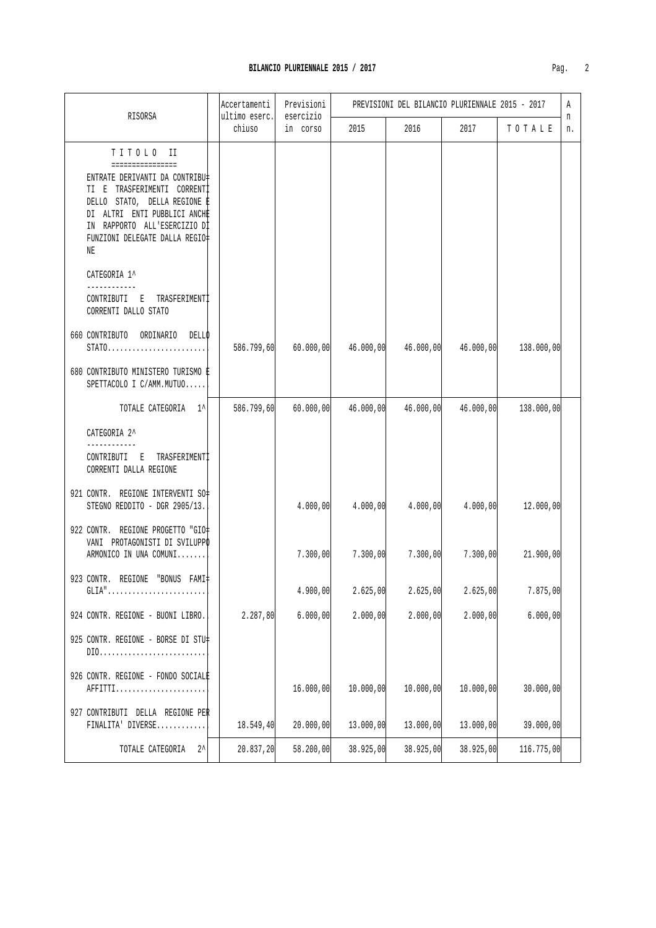| ٠. |  |
|----|--|

|                                                                                                                                                                                                                                                        | Accertamenti            | Previsioni            |           |           | PREVISIONI DEL BILANCIO PLURIENNALE 2015 - 2017 |            | Α       |
|--------------------------------------------------------------------------------------------------------------------------------------------------------------------------------------------------------------------------------------------------------|-------------------------|-----------------------|-----------|-----------|-------------------------------------------------|------------|---------|
| RISORSA                                                                                                                                                                                                                                                | ultimo eserc.<br>chiuso | esercizio<br>in corso | 2015      | 2016      | 2017                                            | TOTALE     | n<br>n. |
| TITOLO II<br>================<br>ENTRATE DERIVANTI DA CONTRIBU‡<br>TI E TRASFERIMENTI CORRENTI<br>DELLO STATO, DELLA REGIONE E<br>DI ALTRI ENTI PUBBLICI ANCHE<br>IN RAPPORTO ALL'ESERCIZIO DI<br>FUNZIONI DELEGATE DALLA REGIO‡<br>ΝE<br>CATEGORIA 1^ |                         |                       |           |           |                                                 |            |         |
| CONTRIBUTI E TRASFERIMENTI<br>CORRENTI DALLO STATO                                                                                                                                                                                                     |                         |                       |           |           |                                                 |            |         |
| 660 CONTRIBUTO ORDINARIO<br>DELLO<br>STATO<br>680 CONTRIBUTO MINISTERO TURISMO E                                                                                                                                                                       | 586.799,60              | 60.000,00             | 46.000,00 | 46.000,00 | 46.000,00                                       | 138.000,00 |         |
| SPETTACOLO I C/AMM. MUTUO                                                                                                                                                                                                                              |                         |                       |           |           |                                                 |            |         |
| TOTALE CATEGORIA 1^                                                                                                                                                                                                                                    | 586.799,60              | 60.000,00             | 46.000,00 | 46.000,00 | 46.000,00                                       | 138.000,00 |         |
| CATEGORIA 2^<br>CONTRIBUTI E TRASFERIMENTI<br>CORRENTI DALLA REGIONE                                                                                                                                                                                   |                         |                       |           |           |                                                 |            |         |
| 921 CONTR. REGIONE INTERVENTI SO#<br>STEGNO REDDITO - DGR 2905/13.                                                                                                                                                                                     |                         | 4.000,00              | 4.000,00  | 4.000,00  | 4.000,00                                        | 12.000,00  |         |
| 922 CONTR. REGIONE PROGETTO "GIO#<br>VANI PROTAGONISTI DI SVILUPPO<br>ARMONICO IN UNA COMUNI                                                                                                                                                           |                         | 7.300,00              | 7.300,00  | 7.300,00  | 7.300,00                                        | 21.900,00  |         |
| 923 CONTR. REGIONE "BONUS FAMI‡                                                                                                                                                                                                                        |                         | 4.900,00              | 2.625,00  | 2.625,00  | 2.625,00                                        | 7.875,00   |         |
| 924 CONTR. REGIONE - BUONI LIBRO.                                                                                                                                                                                                                      | 2.287, 80               | 6.000,00              | 2.000,00  | 2.000,00  | 2.000,00                                        | 6.000,00   |         |
| 925 CONTR. REGIONE - BORSE DI STU‡                                                                                                                                                                                                                     |                         |                       |           |           |                                                 |            |         |
| 926 CONTR. REGIONE - FONDO SOCIALE<br>AFFITTI                                                                                                                                                                                                          |                         | 16.000,00             | 10.000,00 | 10.000,00 | 10.000,00                                       | 30.000,00  |         |
| 927 CONTRIBUTI DELLA REGIONE PER<br>FINALITA' DIVERSE                                                                                                                                                                                                  | 18.549,40               | 20.000,00             | 13.000,00 | 13.000,00 | 13.000,00                                       | 39.000,00  |         |
| $2^{\lambda}$<br>TOTALE CATEGORIA                                                                                                                                                                                                                      | 20.837,20               | 58.200,00             | 38.925,00 | 38.925,00 | 38.925,00                                       | 116.775,00 |         |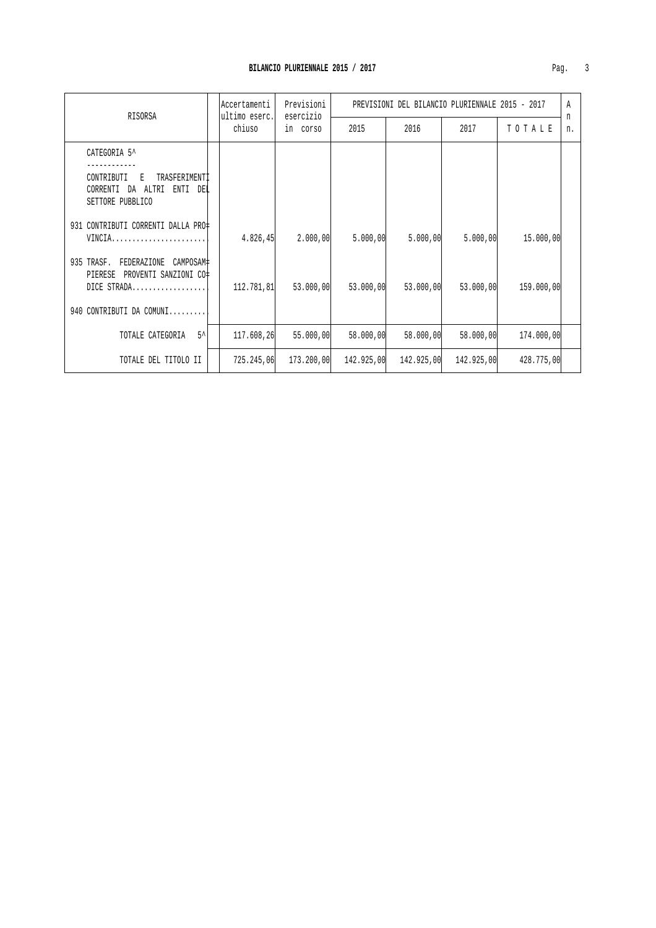| RISORSA                                                                                     |  | Accertamenti<br>ultimo eserc. | Previsioni<br>esercizio | PREVISIONI DEL BILANCIO PLURIENNALE 2015 - 2017 |            |            |            | Α       |
|---------------------------------------------------------------------------------------------|--|-------------------------------|-------------------------|-------------------------------------------------|------------|------------|------------|---------|
|                                                                                             |  | chiuso                        | in corso                | 2015                                            | 2016       | 2017       | TOTALE     | n<br>n. |
| CATEGORIA 5^                                                                                |  |                               |                         |                                                 |            |            |            |         |
| CONTRIBUTI<br>TRASFERIMENTI<br>E<br>ENTI DEL<br>CORRENTI<br>ALTRI<br>DA<br>SETTORE PUBBLICO |  |                               |                         |                                                 |            |            |            |         |
| 931 CONTRIBUTI CORRENTI DALLA PRO‡<br>VINCIA                                                |  | 4.826,45                      | 2.000,00                | 5.000,00                                        | 5.000,00   | 5.000,00   | 15,000,00  |         |
| 935 TRASF.<br>FEDERAZIONE<br>CAMPOSAM#<br>PROVENTI SANZIONI CO#<br>PIERESE<br>DICE STRADA   |  | 112.781,81                    | 53.000,00               | 53.000,00                                       | 53.000,00  | 53.000,00  | 159.000,00 |         |
| 940 CONTRIBUTI DA COMUNI                                                                    |  |                               |                         |                                                 |            |            |            |         |
| $5^{\prime}$<br>TOTALE CATEGORIA                                                            |  | 117.608,26                    | 55.000,00               | 58.000,00                                       | 58.000,00  | 58.000,00  | 174.000,00 |         |
| TOTALE DEL TITOLO II                                                                        |  | 725.245,06                    | 173.200,00              | 142.925,00                                      | 142.925,00 | 142.925,00 | 428.775,00 |         |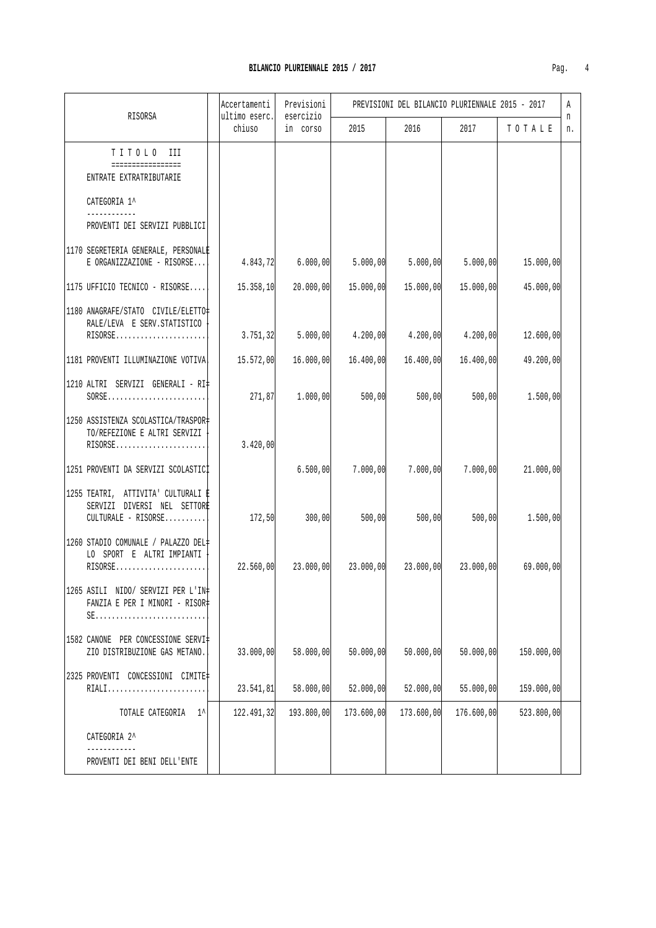| Pag |  |  |
|-----|--|--|
|     |  |  |

| RISORSA                                                                                    | Accertamenti<br>ultimo eserc. | Previsioni<br>esercizio          |            | PREVISIONI DEL BILANCIO PLURIENNALE 2015 - 2017 |            |            | Α       |
|--------------------------------------------------------------------------------------------|-------------------------------|----------------------------------|------------|-------------------------------------------------|------------|------------|---------|
|                                                                                            | chiuso                        | in corso                         | 2015       | 2016                                            | 2017       | TOTALE     | n<br>n. |
| TITOLO III                                                                                 |                               |                                  |            |                                                 |            |            |         |
| =================<br>ENTRATE EXTRATRIBUTARIE                                               |                               |                                  |            |                                                 |            |            |         |
| CATEGORIA 1^                                                                               |                               |                                  |            |                                                 |            |            |         |
| ____________<br>PROVENTI DEI SERVIZI PUBBLICI                                              |                               |                                  |            |                                                 |            |            |         |
| 1170 SEGRETERIA GENERALE, PERSONALE<br>E ORGANIZZAZIONE - RISORSE                          |                               | $4.843,72$ $6.000,00$ $5.000,00$ |            | 5.000, 00                                       | 5.000,00   | 15.000,00  |         |
| 1175 UFFICIO TECNICO - RISORSE                                                             | 15.358, 10                    | 20.000,00                        | 15.000,00  | 15.000,00                                       | 15.000,00  | 45.000,00  |         |
| 1180 ANAGRAFE/STATO CIVILE/ELETTO                                                          |                               |                                  |            |                                                 |            |            |         |
| RALE/LEVA E SERV. STATISTICO<br>RISORSE                                                    | 3.751, 32                     | 5.000,00                         | 4.200,00   | 4.200,00                                        | 4.200,00   | 12.600,00  |         |
| 1181 PROVENTI ILLUMINAZIONE VOTIVA                                                         | 15.572,00                     | 16.000,00                        | 16.400,00  | 16.400,00                                       | 16.400,00  | 49.200,00  |         |
| 1210 ALTRI SERVIZI GENERALI - RI‡<br>$SORSE$                                               | 271,87                        | 1.000,00                         | 500,00     | 500,00                                          | 500,00     | 1.500,00   |         |
| 1250 ASSISTENZA SCOLASTICA/TRASPOR‡<br>TO/REFEZIONE E ALTRI SERVIZI<br>RISORSE             | 3.420,00                      |                                  |            |                                                 |            |            |         |
| 1251 PROVENTI DA SERVIZI SCOLASTICI                                                        |                               | 6.500,00                         | 7.000,00   | 7.000,00                                        | 7.000,00   | 21.000,00  |         |
| 1255 TEATRI, ATTIVITA' CULTURALI E<br>SERVIZI DIVERSI NEL SETTORE<br>$CULTURALE - RISORSE$ | 172,50                        | 300,00                           | 500,00     | 500,00                                          | 500,00     | 1.500,00   |         |
| 1260 STADIO COMUNALE / PALAZZO DEL#<br>LO SPORT E ALTRI IMPIANTI<br>$RISORSE$              | 22.560,00                     | 23.000,00                        | 23.000,00  | 23.000,00                                       | 23.000,00  | 69.000,00  |         |
| 1265 ASILI NIDO/ SERVIZI PER L'IN‡<br>FANZIA E PER I MINORI - RISOR‡                       |                               |                                  |            |                                                 |            |            |         |
| 1582 CANONE PER CONCESSIONE SERVI‡<br>ZIO DISTRIBUZIONE GAS METANO.                        | 33.000,00                     | 58.000,00                        | 50.000,00  | 50.000,00                                       | 50.000,00  | 150.000,00 |         |
| 2325 PROVENTI CONCESSIONI CIMITE#<br>RIALI                                                 | 23.541,81                     | 58.000,00                        | 52.000,00  | 52.000,00                                       | 55.000,00  | 159.000,00 |         |
| TOTALE CATEGORIA<br>$1^{\wedge}$                                                           | 122.491,32                    | 193.800,00                       | 173.600,00 | 173.600,00                                      | 176.600,00 | 523.800,00 |         |
| CATEGORIA 2^                                                                               |                               |                                  |            |                                                 |            |            |         |
| PROVENTI DEI BENI DELL'ENTE                                                                |                               |                                  |            |                                                 |            |            |         |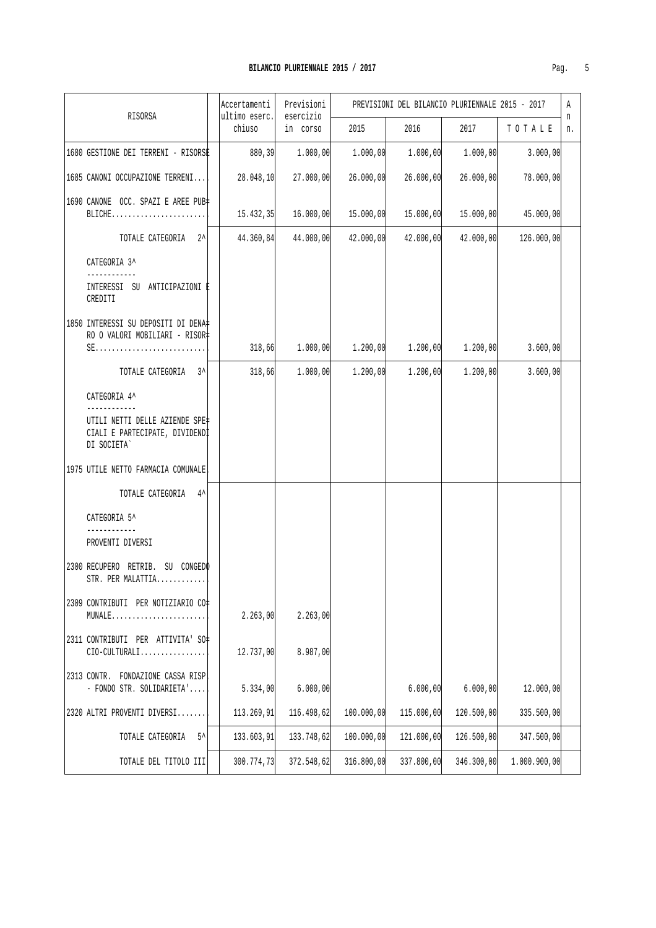|  |                                                                                 | Accertamenti            | Previsioni<br>esercizio | PREVISIONI DEL BILANCIO PLURIENNALE 2015 - 2017 |            |            |              |         |
|--|---------------------------------------------------------------------------------|-------------------------|-------------------------|-------------------------------------------------|------------|------------|--------------|---------|
|  | RISORSA                                                                         | ultimo eserc.<br>chiuso | in corso                | 2015                                            | 2016       | 2017       | TOTALE       | n<br>n. |
|  | 1680 GESTIONE DEI TERRENI - RISORSE                                             | 880, 39                 | 1.000,00                | 1.000,00                                        | 1.000,00   | 1.000,00   | 3.000,00     |         |
|  | 1685 CANONI OCCUPAZIONE TERRENI                                                 | 28.048,10               | 27.000,00               | 26.000,00                                       | 26.000,00  | 26.000,00  | 78.000,00    |         |
|  | 1690 CANONE OCC. SPAZI E AREE PUB-<br>BLICHE                                    | 15.432,35               | 16,000,00               | 15.000,00                                       | 15.000,00  | 15.000,00  | 45.000,00    |         |
|  | TOTALE CATEGORIA 2^                                                             | 44.360,84               | 44.000,00               | 42.000,00                                       | 42.000,00  | 42.000,00  | 126.000,00   |         |
|  | CATEGORIA 3^                                                                    |                         |                         |                                                 |            |            |              |         |
|  | INTERESSI SU ANTICIPAZIONI E<br>CREDITI                                         |                         |                         |                                                 |            |            |              |         |
|  | 1850 INTERESSI SU DEPOSITI DI DENA‡<br>RO O VALORI MOBILIARI - RISOR‡           |                         |                         |                                                 |            |            |              |         |
|  | $SE$                                                                            | 318,66                  | 1.000,00                | 1.200,00                                        | 1.200,00   | 1.200,00   | 3.600,00     |         |
|  | TOTALE CATEGORIA 3^                                                             | 318,66                  | 1.000,00                | 1.200,00                                        | 1.200,00   | 1.200,00   | 3.600,00     |         |
|  | CATEGORIA 4^                                                                    |                         |                         |                                                 |            |            |              |         |
|  | UTILI NETTI DELLE AZIENDE SPE‡<br>CIALI E PARTECIPATE, DIVIDENDI<br>DI SOCIETA` |                         |                         |                                                 |            |            |              |         |
|  | 1975 UTILE NETTO FARMACIA COMUNALE                                              |                         |                         |                                                 |            |            |              |         |
|  | TOTALE CATEGORIA<br>$4^{\lambda}$                                               |                         |                         |                                                 |            |            |              |         |
|  | CATEGORIA 5^                                                                    |                         |                         |                                                 |            |            |              |         |
|  | PROVENTI DIVERSI                                                                |                         |                         |                                                 |            |            |              |         |
|  | 2300 RECUPERO RETRIB. SU CONGEDO<br>STR. PER MALATTIA                           |                         |                         |                                                 |            |            |              |         |
|  | 2309 CONTRIBUTI PER NOTIZIARIO CO#<br>MUNALE                                    | 2.263,00                | 2.263,00                |                                                 |            |            |              |         |
|  | 2311 CONTRIBUTI PER ATTIVITA' SO#<br>$CIO-CULTURALI$                            | 12.737,00               | 8.987,00                |                                                 |            |            |              |         |
|  | 2313 CONTR. FONDAZIONE CASSA RISP<br>- FONDO STR. SOLIDARIETA'                  | 5.334,00                | 6.000,00                |                                                 | 6.000,00   | 6.000,00   | 12.000,00    |         |
|  | 2320 ALTRI PROVENTI DIVERSI                                                     | 113.269,91              | 116.498,62              | 100.000,00                                      | 115,000,00 | 120.500,00 | 335.500,00   |         |
|  | TOTALE CATEGORIA<br>5^                                                          | 133.603,91              | 133.748,62              | 100.000,00                                      | 121.000,00 | 126.500,00 | 347.500,00   |         |
|  | TOTALE DEL TITOLO III                                                           | 300.774,73              | 372.548,62              | 316.800,00                                      | 337.800,00 | 346.300,00 | 1.000.900,00 |         |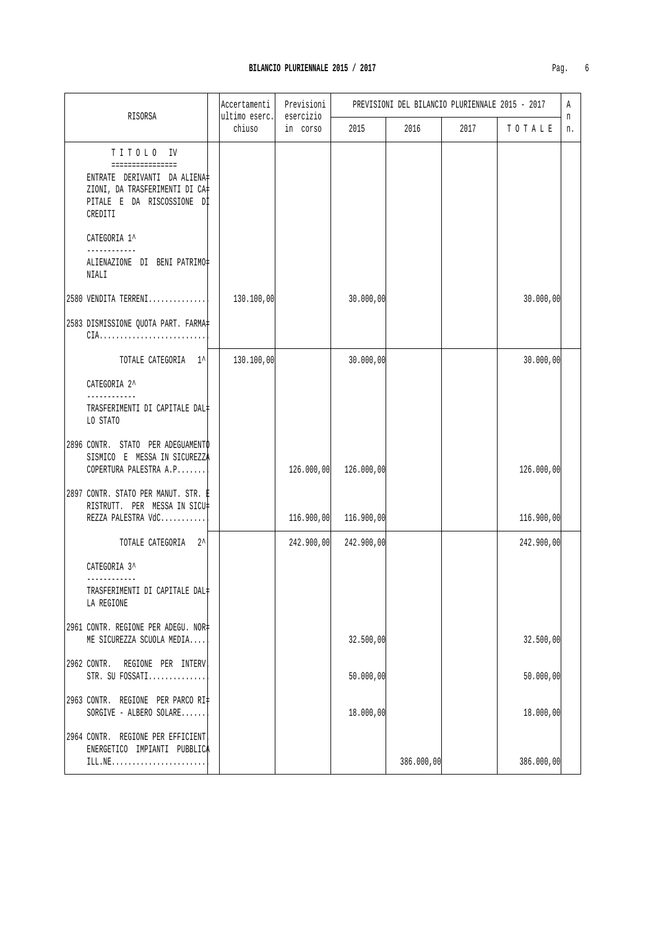| Paq. |  |
|------|--|

|  |                                                                                                                                          | Accertamenti            | Previsioni<br>esercizio | PREVISIONI DEL BILANCIO PLURIENNALE 2015 - 2017 |            |      |            | A       |
|--|------------------------------------------------------------------------------------------------------------------------------------------|-------------------------|-------------------------|-------------------------------------------------|------------|------|------------|---------|
|  | RISORSA                                                                                                                                  | ultimo eserc.<br>chiuso | in corso                | 2015                                            | 2016       | 2017 | TOTALE     | n<br>n. |
|  | TITOLO IV<br>================<br>ENTRATE DERIVANTI DA ALIENA‡<br>ZIONI, DA TRASFERIMENTI DI CA‡<br>PITALE E DA RISCOSSIONE DI<br>CREDITI |                         |                         |                                                 |            |      |            |         |
|  | CATEGORIA 1^<br>------------                                                                                                             |                         |                         |                                                 |            |      |            |         |
|  | ALIENAZIONE DI BENI PATRIMO‡<br>NIALI                                                                                                    |                         |                         |                                                 |            |      |            |         |
|  | 2580 VENDITA TERRENI                                                                                                                     | 130.100,00              |                         | 30.000,00                                       |            |      | 30.000,00  |         |
|  | 2583 DISMISSIONE QUOTA PART. FARMA=<br>$CIA.$                                                                                            |                         |                         |                                                 |            |      |            |         |
|  | TOTALE CATEGORIA 1^                                                                                                                      | 130.100,00              |                         | 30.000,00                                       |            |      | 30.000,00  |         |
|  | CATEGORIA 2^<br>------------<br>TRASFERIMENTI DI CAPITALE DAL#<br>LO STATO                                                               |                         |                         |                                                 |            |      |            |         |
|  | 2896 CONTR. STATO PER ADEGUAMENTO<br>SISMICO E MESSA IN SICUREZZA<br>COPERTURA PALESTRA A.P                                              |                         | 126.000,00              | 126.000,00                                      |            |      | 126.000,00 |         |
|  | 2897 CONTR. STATO PER MANUT. STR. E<br>RISTRUTT. PER MESSA IN SICU‡<br>REZZA PALESTRA VdC                                                |                         | 116.900,00              | 116.900,00                                      |            |      | 116.900,00 |         |
|  | TOTALE CATEGORIA 2^                                                                                                                      |                         | 242.900,00              | 242.900,00                                      |            |      | 242.900,00 |         |
|  | CATEGORIA 3^<br>------------                                                                                                             |                         |                         |                                                 |            |      |            |         |
|  | TRASFERIMENTI DI CAPITALE DAL+<br>LA REGIONE                                                                                             |                         |                         |                                                 |            |      |            |         |
|  | 2961 CONTR. REGIONE PER ADEGU. NOR‡<br>ME SICUREZZA SCUOLA MEDIA                                                                         |                         |                         | 32.500,00                                       |            |      | 32.500,00  |         |
|  | 2962 CONTR. REGIONE PER INTERV<br>STR. SU FOSSATI                                                                                        |                         |                         | 50.000,00                                       |            |      | 50.000,00  |         |
|  | 2963 CONTR. REGIONE PER PARCO RI=<br>SORGIVE - ALBERO SOLARE                                                                             |                         |                         | 18.000,00                                       |            |      | 18.000,00  |         |
|  | 2964 CONTR. REGIONE PER EFFICIENT<br>ENERGETICO IMPIANTI PUBBLICA<br>ILL.NE                                                              |                         |                         |                                                 | 386.000,00 |      | 386.000,00 |         |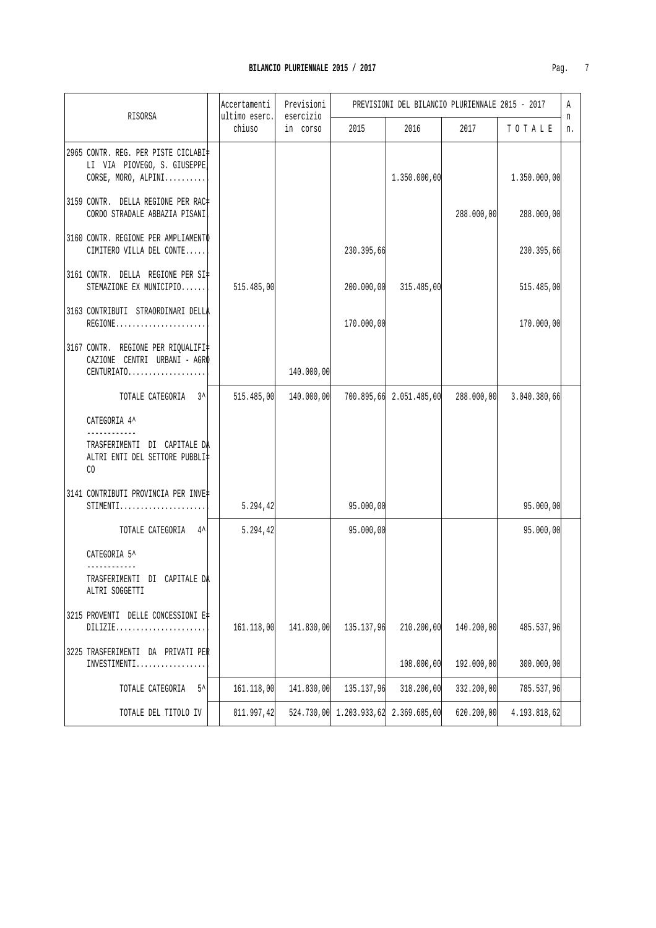| RISORSA                                                                                      | Accertamenti<br>ultimo eserc. | Previsioni<br>esercizio |                                      | PREVISIONI DEL BILANCIO PLURIENNALE 2015 - 2017 |            |              | Α       |
|----------------------------------------------------------------------------------------------|-------------------------------|-------------------------|--------------------------------------|-------------------------------------------------|------------|--------------|---------|
|                                                                                              | chiuso                        | in corso                | 2015                                 | 2016                                            | 2017       | TOTALE       | n<br>n. |
| 2965 CONTR. REG. PER PISTE CICLABI<br>LI VIA PIOVEGO, S. GIUSEPPE<br>CORSE, MORO, ALPINI     |                               |                         |                                      | 1.350.000,00                                    |            | 1.350.000,00 |         |
| 3159 CONTR. DELLA REGIONE PER RAC‡<br>CORDO STRADALE ABBAZIA PISANI                          |                               |                         |                                      |                                                 | 288.000,00 | 288.000,00   |         |
| 3160 CONTR. REGIONE PER AMPLIAMENTO<br>CIMITERO VILLA DEL CONTE                              |                               |                         | 230.395,66                           |                                                 |            | 230.395,66   |         |
| 3161 CONTR. DELLA REGIONE PER SI#<br>STEMAZIONE EX MUNICIPIO                                 | 515.485,00                    |                         | 200.000,00                           | 315.485,00                                      |            | 515.485,00   |         |
| 3163 CONTRIBUTI STRAORDINARI DELLA<br>REGIONE                                                |                               |                         | 170.000,00                           |                                                 |            | 170.000,00   |         |
| 3167 CONTR. REGIONE PER RIQUALIFI‡<br>CAZIONE CENTRI URBANI - AGRO<br>CENTURIATO             |                               | 140.000,00              |                                      |                                                 |            |              |         |
| TOTALE CATEGORIA 3^                                                                          | 515.485,00                    | 140.000,00              |                                      | 700.895,66 2.051.485,00                         | 288.000,00 | 3.040.380,66 |         |
| CATEGORIA 4^                                                                                 |                               |                         |                                      |                                                 |            |              |         |
| ------------<br>TRASFERIMENTI DI CAPITALE DA<br>ALTRI ENTI DEL SETTORE PUBBLI‡<br>CO         |                               |                         |                                      |                                                 |            |              |         |
| 3141 CONTRIBUTI PROVINCIA PER INVE‡<br>$STIMENTI. \ldots \ldots \ldots \ldots \ldots \ldots$ | 5.294, 42                     |                         | 95.000,00                            |                                                 |            | 95.000,00    |         |
| TOTALE CATEGORIA 4^                                                                          | 5.294,42                      |                         | 95.000,00                            |                                                 |            | 95.000,00    |         |
| CATEGORIA 5^                                                                                 |                               |                         |                                      |                                                 |            |              |         |
| TRASFERIMENTI DI CAPITALE DA<br>ALTRI SOGGETTI                                               |                               |                         |                                      |                                                 |            |              |         |
| 3215 PROVENTI DELLE CONCESSIONI E#<br>DILLZIE                                                | 161.118,00                    | 141.830,00              | 135.137,96                           | 210.200,00                                      | 140.200,00 | 485.537,96   |         |
| 3225 TRASFERIMENTI DA PRIVATI PER<br>INVESTIMENTI                                            |                               |                         |                                      | 108.000,00                                      | 192.000,00 | 300.000,00   |         |
| $5^{\prime}$<br>TOTALE CATEGORIA                                                             | 161.118,00                    | 141.830,00              | 135.137,96                           | 318.200,00                                      | 332.200,00 | 785.537,96   |         |
| TOTALE DEL TITOLO IV                                                                         | 811.997,42                    |                         | 524.730,00 1.203.933,62 2.369.685,00 |                                                 | 620.200,00 | 4.193.818,62 |         |

 $\mathcal{L}^{\text{max}}_{\text{max}}$  , where  $\mathcal{L}^{\text{max}}_{\text{max}}$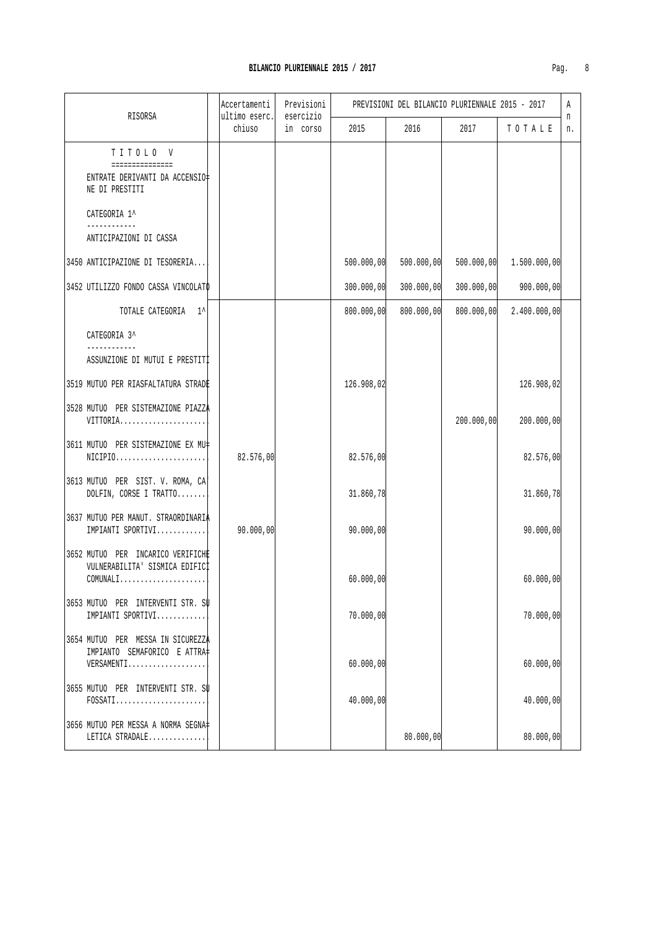| н<br>г |  |
|--------|--|
|        |  |

| RISORSA                                                                                                                                    | Accertamenti<br>ultimo eserc. | Previsioni<br>esercizio | PREVISIONI DEL BILANCIO PLURIENNALE 2015 - 2017 |            |            |              | Α<br>n |
|--------------------------------------------------------------------------------------------------------------------------------------------|-------------------------------|-------------------------|-------------------------------------------------|------------|------------|--------------|--------|
|                                                                                                                                            | chiuso                        | in corso                | 2015                                            | 2016       | 2017       | TOTALE       | n.     |
| TITOLO V<br>===============                                                                                                                |                               |                         |                                                 |            |            |              |        |
| ENTRATE DERIVANTI DA ACCENSIO#<br>NE DI PRESTITI                                                                                           |                               |                         |                                                 |            |            |              |        |
| CATEGORIA 1^<br>------------                                                                                                               |                               |                         |                                                 |            |            |              |        |
| ANTICIPAZIONI DI CASSA                                                                                                                     |                               |                         |                                                 |            |            |              |        |
| 3450 ANTICIPAZIONE DI TESORERIA                                                                                                            |                               |                         | 500.000,00                                      | 500.000,00 | 500.000,00 | 1.500.000,00 |        |
| 3452 UTILIZZO FONDO CASSA VINCOLATO                                                                                                        |                               |                         | 300.000,00                                      | 300.000,00 | 300.000,00 | 900.000,00   |        |
| TOTALE CATEGORIA 1^                                                                                                                        |                               |                         | 800.000,00                                      | 800.000,00 | 800.000,00 | 2.400.000,00 |        |
| CATEGORIA 3^                                                                                                                               |                               |                         |                                                 |            |            |              |        |
| ASSUNZIONE DI MUTUI E PRESTITI                                                                                                             |                               |                         |                                                 |            |            |              |        |
| 3519 MUTUO PER RIASFALTATURA STRADE                                                                                                        |                               |                         | 126.908,02                                      |            |            | 126.908,02   |        |
| 3528 MUTUO PER SISTEMAZIONE PIAZZA<br>$VITTORIA.$                                                                                          |                               |                         |                                                 |            | 200.000,00 | 200.000,00   |        |
| 3611 MUTUO PER SISTEMAZIONE EX MU‡<br>$NICIPIO$                                                                                            | 82.576,00                     |                         | 82.576,00                                       |            |            | 82.576,00    |        |
| 3613 MUTUO PER SIST. V. ROMA, CA<br>DOLFIN, CORSE I TRATTO                                                                                 |                               |                         | 31.860,78                                       |            |            | 31.860,78    |        |
| 3637 MUTUO PER MANUT. STRAORDINARIA<br>IMPIANTI SPORTIVI                                                                                   | 90.000,00                     |                         | 90.000,00                                       |            |            | 90.000,00    |        |
| 3652 MUTUO PER INCARICO VERIFICHE<br>VULNERABILITA' SISMICA EDIFICI<br>$\texttt{COMUNALI} \dots \dots \dots \dots \dots \dots \dots \dots$ |                               |                         | 60.000,00                                       |            |            | 60.000,00    |        |
| 3653 MUTUO PER INTERVENTI STR. SU<br>IMPIANTI SPORTIVI                                                                                     |                               |                         | 70.000,00                                       |            |            | 70.000,00    |        |
| 3654 MUTUO PER MESSA IN SICUREZZA<br>IMPIANTO SEMAFORICO E ATTRA‡<br>VERSAMENTI                                                            |                               |                         | 60.000,00                                       |            |            | 60.000,00    |        |
| 3655 MUTUO PER INTERVENTI STR. SU<br>$FOSSATI$                                                                                             |                               |                         | 40.000,00                                       |            |            | 40.000,00    |        |
| 3656 MUTUO PER MESSA A NORMA SEGNA‡<br>LETICA STRADALE                                                                                     |                               |                         |                                                 | 80.000,00  |            | 80.000,00    |        |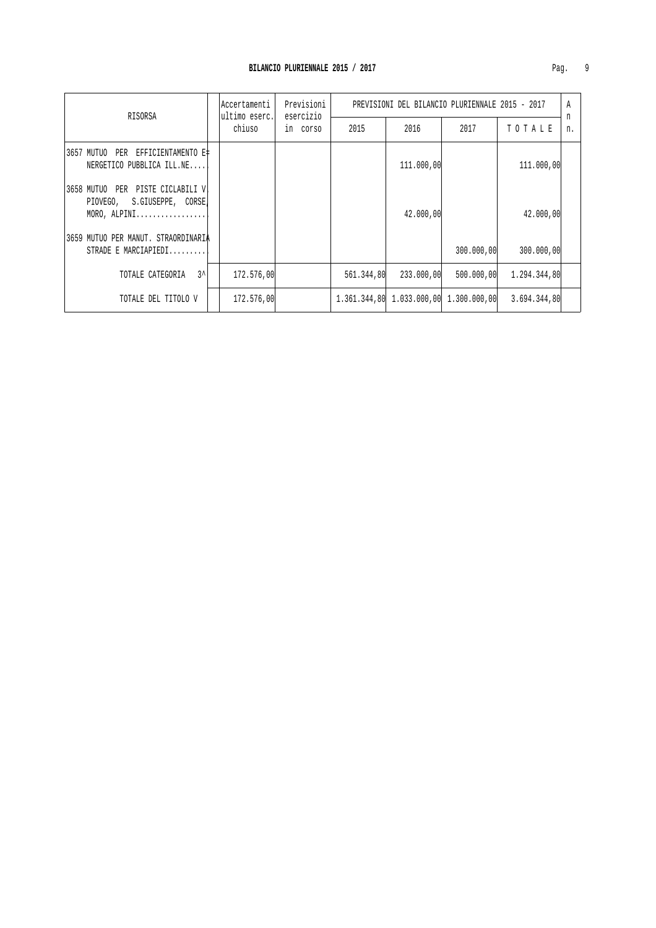| RISORSA                                                                            | Accertamenti            | Previsioni<br>esercizio<br>in corso | PREVISIONI DEL BILANCIO PLURIENNALE 2015 - 2017 |                                        |            |              |         |
|------------------------------------------------------------------------------------|-------------------------|-------------------------------------|-------------------------------------------------|----------------------------------------|------------|--------------|---------|
|                                                                                    | ultimo eserc.<br>chiuso |                                     | 2015                                            | 2016                                   | 2017       | TOTALE       | n<br>n. |
| 3657 MUTUO PER EFFICIENTAMENTO E#<br>NERGETICO PUBBLICA ILL.NE                     |                         |                                     |                                                 | 111,000,00                             |            | 111,000,00   |         |
| 3658 MUTUO PER PISTE CICLABILI VI<br>PIOVEGO, S.GIUSEPPE, CORSE,<br>$MORO, ALPINI$ |                         |                                     |                                                 | 42.000,00                              |            | 42.000,00    |         |
| 3659 MUTUO PER MANUT. STRAORDINARIA<br>STRADE E MARCIAPIEDI                        |                         |                                     |                                                 |                                        | 300.000,00 | 300.000,00   |         |
| $3^{\lambda}$<br>TOTALE CATEGORIA                                                  | 172.576,00              |                                     | 561.344,80                                      | 233.000,00                             | 500.000.00 | 1.294.344.80 |         |
| TOTALE DEL TITOLO V                                                                | 172.576,00              |                                     |                                                 | 1.361.344,80 1.033.000,00 1.300.000,00 |            | 3.694.344,80 |         |